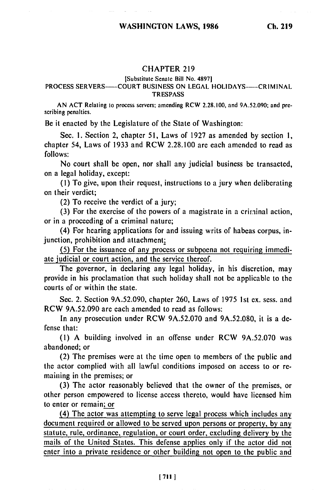### CHAPTER **219**

#### [Substitute Senate Bill No. 48971

## PROCESS SERVERS-COURT BUSINESS ON LEGAL HOLIDAYS-CRIMINAL **TRESPASS**

AN ACT Relating to process servers: amending RCW 2.28.100, and 9A.52.090; and prescribing penalties.

Be it enacted **by** the Legislature of the State of Washington:

Sec. **1.** Section 2, chapter **51,** Laws of 1927 as amended **by** section **1,** chapter 54, Laws of **1933** and RCW 2.28.100 are each amended to read as **follows:**

No court shall be open, nor shall any judicial business **be** transacted, on a legal holiday, except:

**(1)** To give, upon their request, instructions to a jury when deliberating on their verdict;

(2) To receive the verdict of a jury;

**(3)** For the exercise of the powers of a magistrate in a criminal action, or in a proceeding of a criminal nature;

(4) For hearing applications for and issuing writs of habeas corpus, injunction, prohibition and attachment;

**(5)** For the issuance of any process or subpoena not requiring immediate judicial or court action, and the service thereof.

The governor, in declaring any legal holiday, in his discretion, may provide in his proclamation that such holiday shall not **be** applicable to the courts of or within the state.

Sec. 2. Section 9A.52.090, chapter 260, Laws of **1975 Ist** ex. sess. and RCW 9A.52.090 are each amended to read as follows:

In any prosecution under RCW 9A.52.070 and 9A.52.080, it is a defense that:

**(1) A** building involved in an offense under RCW 9A.52.070 was abandoned; or

(2) The premises were at the time open to members of the public and the actor complied with all lawful conditions imposed on access to or remaining in the premises; or

**(3)** The actor reasonably believed that the owner of the premises, or other person empowered to license access thereto, would have licensed him to enter or remain; or

(4) The actor was attempting to serve legal process which includes any document required or allowed to be served upon persons or property, **by** any statute, rule, ordinance, regulation, or court order, excluding delivery by the mails of the United States. This defense applies only if the actor did not enter into a private residence or other building not open to the public and